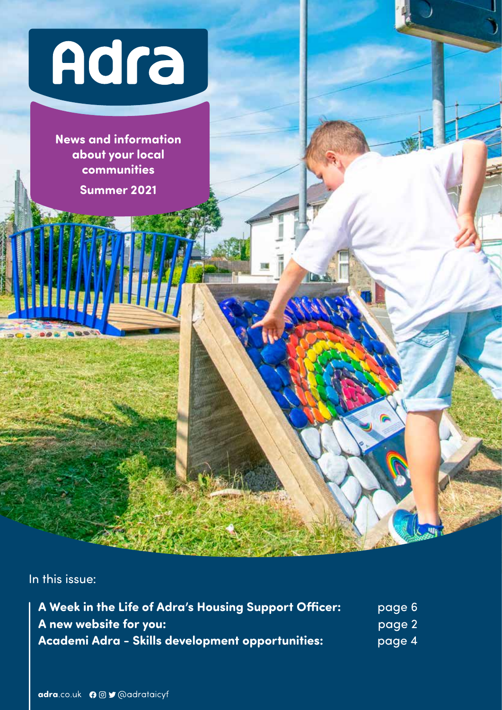

**News and information about your local communities Summer 2021**

In this issue:

| A Week in the Life of Adra's Housing Support Officer:   | page 6 |
|---------------------------------------------------------|--------|
| A new website for you:                                  | page 2 |
| <b>Academi Adra - Skills development opportunities:</b> | page 4 |

**D**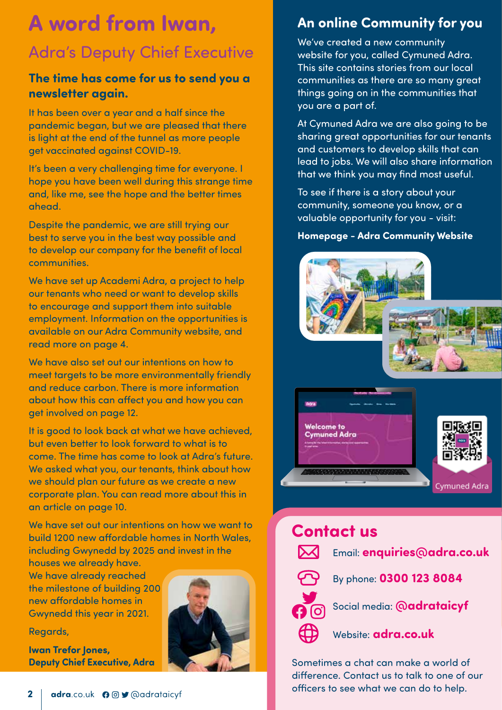# **A word from Iwan,** Adra's Deputy Chief Executive

#### **The time has come for us to send you a newsletter again.**

It has been over a year and a half since the pandemic began, but we are pleased that there is light at the end of the tunnel as more people get vaccinated against COVID-19.

It's been a very challenging time for everyone. I hope you have been well during this strange time and, like me, see the hope and the better times ahead.

Despite the pandemic, we are still trying our best to serve you in the best way possible and to develop our company for the benefit of local communities.

We have set up Academi Adra, a project to help our tenants who need or want to develop skills to encourage and support them into suitable employment. Information on the opportunities is available on our Adra Community website, and read more on page 4.

We have also set out our intentions on how to meet targets to be more environmentally friendly and reduce carbon. There is more information about how this can affect you and how you can get involved on page 12.

It is good to look back at what we have achieved, but even better to look forward to what is to come. The time has come to look at Adra's future. We asked what you, our tenants, think about how we should plan our future as we create a new corporate plan. You can read more about this in an article on page 10.

We have set out our intentions on how we want to build 1200 new affordable homes in North Wales, including Gwynedd by 2025 and invest in the

houses we already have. We have already reached the milestone of building 200 new affordable homes in Gwynedd this year in 2021.

Regards,

**Iwan Trefor Jones, Deputy Chief Executive, Adra**



## **An online Community for you**

We've created a new community website for you, called Cymuned Adra. This site contains stories from our local communities as there are so many great things going on in the communities that you are a part of.

At Cymuned Adra we are also going to be sharing great opportunities for our tenants and customers to develop skills that can lead to jobs. We will also share information that we think you may find most useful.

To see if there is a story about your community, someone you know, or a valuable opportunity for you - visit:

#### **Homepage - Adra Community Website**



## **Contact us**



Email: **enquiries@adra.co.uk**



By phone: **0300 123 8084**



Social media: **@adrataicyf** 



Website: **adra.co.uk**

Sometimes a chat can make a world of difference. Contact us to talk to one of our officers to see what we can do to help.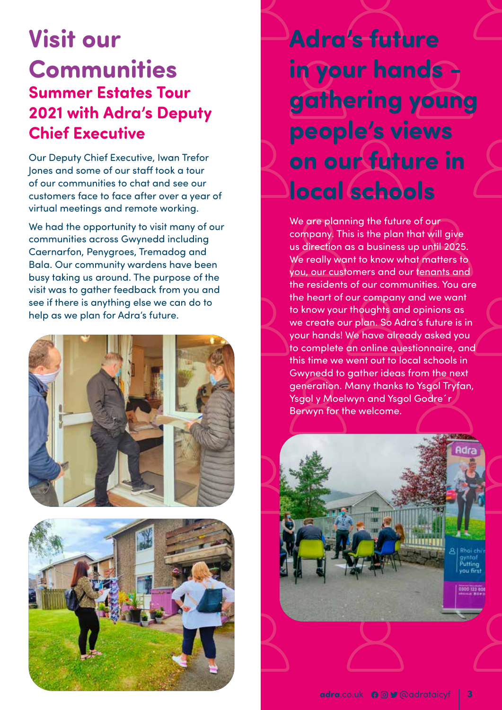# **Visit our Communities Summer Estates Tour 2021 with Adra's Deputy Chief Executive**

Our Deputy Chief Executive, Iwan Trefor Jones and some of our staff took a tour of our communities to chat and see our customers face to face after over a year of virtual meetings and remote working.

We had the opportunity to visit many of our communities across Gwynedd including Caernarfon, Penygroes, Tremadog and Bala. Our community wardens have been busy taking us around. The purpose of the visit was to gather feedback from you and see if there is anything else we can do to help as we plan for Adra's future.





**Adra's future in your hands gathering young people's views on our future in local schools**

We are planning the future of our company. This is the plan that will give us direction as a business up until 2025. We really want to know what matters to you, our customers and our tenants and the residents of our communities. You are the heart of our company and we want to know your thoughts and opinions as we create our plan. So Adra's future is in your hands! We have already asked you to complete an online questionnaire, and this time we went out to local schools in Gwynedd to gather ideas from the next generation. Many thanks to Ysgol Tryfan, Ysgol y Moelwyn and Ysgol Godre´r Berwyn for the welcome.

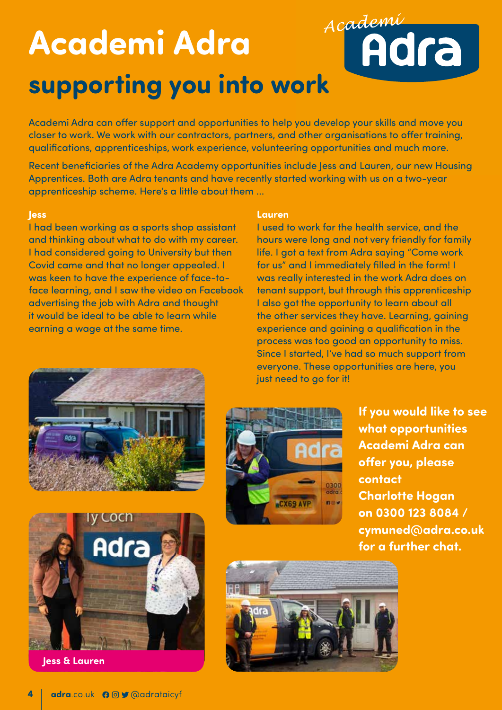# *Academi* **Academi Adra supporting you into work**

Academi Adra can offer support and opportunities to help you develop your skills and move you closer to work. We work with our contractors, partners, and other organisations to offer training, qualifications, apprenticeships, work experience, volunteering opportunities and much more.

Recent beneficiaries of the Adra Academy opportunities include Jess and Lauren, our new Housing Apprentices. Both are Adra tenants and have recently started working with us on a two-year apprenticeship scheme. Here's a little about them ...

#### **Jess**

I had been working as a sports shop assistant and thinking about what to do with my career. I had considered going to University but then Covid came and that no longer appealed. I was keen to have the experience of face-toface learning, and I saw the video on Facebook advertising the job with Adra and thought it would be ideal to be able to learn while earning a wage at the same time.

#### **Lauren**

I used to work for the health service, and the hours were long and not very friendly for family life. I got a text from Adra saying "Come work for us" and I immediately filled in the form! I was really interested in the work Adra does on tenant support, but through this apprenticeship I also got the opportunity to learn about all the other services they have. Learning, gaining experience and gaining a qualification in the process was too good an opportunity to miss. Since I started, I've had so much support from everyone. These opportunities are here, you just need to go for it!





**Jess & Lauren**



**If you would like to see what opportunities Academi Adra can offer you, please contact Charlotte Hogan on 0300 123 8084 / cymuned@adra.co.uk for a further chat.**

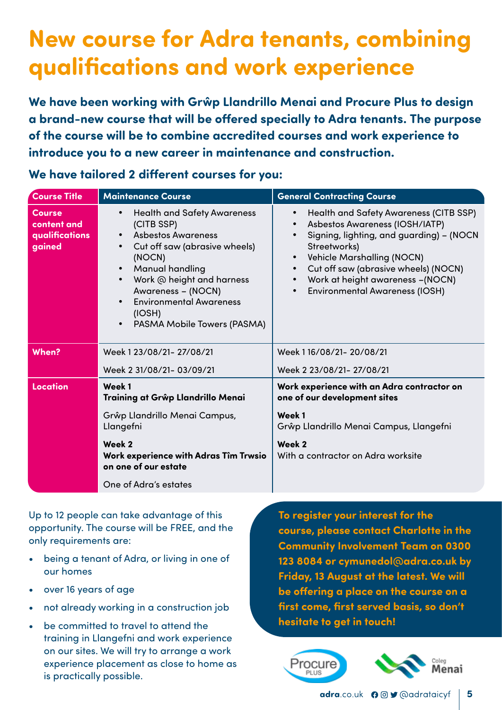# **New course for Adra tenants, combining qualifications and work experience**

**We have been working with Grŵp Llandrillo Menai and Procure Plus to design a brand-new course that will be offered specially to Adra tenants. The purpose of the course will be to combine accredited courses and work experience to introduce you to a new career in maintenance and construction.**

#### **We have tailored 2 different courses for you:**

| <b>Course Title</b>                                      | <b>Maintenance Course</b>                                                                                                                                                                                                                                                                                                                         | <b>General Contracting Course</b>                                                                                                                                                                                                                                                                                                            |
|----------------------------------------------------------|---------------------------------------------------------------------------------------------------------------------------------------------------------------------------------------------------------------------------------------------------------------------------------------------------------------------------------------------------|----------------------------------------------------------------------------------------------------------------------------------------------------------------------------------------------------------------------------------------------------------------------------------------------------------------------------------------------|
| <b>Course</b><br>content and<br>qualifications<br>gained | <b>Health and Safety Awareness</b><br>$\bullet$<br>(CITB SSP)<br><b>Asbestos Awareness</b><br>$\bullet$<br>Cut off saw (abrasive wheels)<br>$\bullet$<br>(NOCN)<br><b>Manual handling</b><br>Work @ height and harness<br>$\bullet$<br>Awareness - (NOCN)<br><b>Environmental Awareness</b><br>(IOSH)<br>PASMA Mobile Towers (PASMA)<br>$\bullet$ | <b>Health and Safety Awareness (CITB SSP)</b><br>Asbestos Awareness (IOSH/IATP)<br>Signing, lighting, and guarding) - (NOCN<br>Streetworks)<br><b>Vehicle Marshalling (NOCN)</b><br>$\bullet$<br>Cut off saw (abrasive wheels) (NOCN)<br>$\bullet$<br>Work at height awareness -(NOCN)<br>$\bullet$<br><b>Environmental Awareness (IOSH)</b> |
| When?                                                    | Week 1 23/08/21- 27/08/21                                                                                                                                                                                                                                                                                                                         | Week 116/08/21-20/08/21                                                                                                                                                                                                                                                                                                                      |
|                                                          | Week 2 31/08/21- 03/09/21                                                                                                                                                                                                                                                                                                                         | Week 2 23/08/21- 27/08/21                                                                                                                                                                                                                                                                                                                    |
| <b>Location</b>                                          | Week 1<br>Training at Grŵp Llandrillo Menai                                                                                                                                                                                                                                                                                                       | Work experience with an Adra contractor on<br>one of our development sites                                                                                                                                                                                                                                                                   |
|                                                          | Grŵp Llandrillo Menai Campus,<br>Llangefni                                                                                                                                                                                                                                                                                                        | Week 1<br>Grŵp Llandrillo Menai Campus, Llangefni                                                                                                                                                                                                                                                                                            |
|                                                          | Week 2<br>Work experience with Adras Tîm Trwsio<br>on one of our estate                                                                                                                                                                                                                                                                           | Week 2<br>With a contractor on Adra worksite                                                                                                                                                                                                                                                                                                 |
|                                                          | One of Adra's estates                                                                                                                                                                                                                                                                                                                             |                                                                                                                                                                                                                                                                                                                                              |

Up to 12 people can take advantage of this opportunity. The course will be FREE, and the only requirements are:

- being a tenant of Adra, or living in one of our homes
- over 16 years of age
- not already working in a construction job
- be committed to travel to attend the training in Llangefni and work experience on our sites. We will try to arrange a work experience placement as close to home as is practically possible.

**To register your interest for the course, please contact Charlotte in the Community Involvement Team on 0300 123 8084 or cymunedol@adra.co.uk by Friday, 13 August at the latest. We will be offering a place on the course on a first come, first served basis, so don't hesitate to get in touch!**



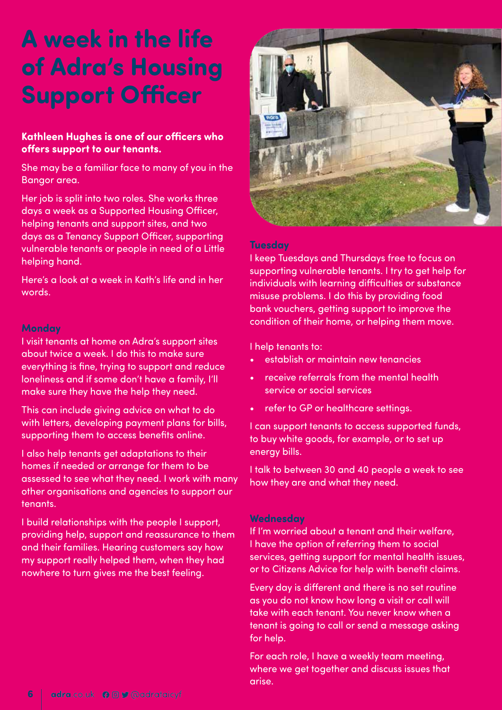# **A week in the life of Adra's Housing Support Officer**

#### **Kathleen Hughes is one of our officers who offers support to our tenants.**

She may be a familiar face to many of you in the Bangor area.

Her job is split into two roles. She works three days a week as a Supported Housing Officer, helping tenants and support sites, and two days as a Tenancy Support Officer, supporting vulnerable tenants or people in need of a Little helping hand.

Here's a look at a week in Kath's life and in her words.

#### **Monday**

I visit tenants at home on Adra's support sites about twice a week. I do this to make sure everything is fine, trying to support and reduce loneliness and if some don't have a family, I'll make sure they have the help they need.

This can include giving advice on what to do with letters, developing payment plans for bills, supporting them to access benefits online.

I also help tenants get adaptations to their homes if needed or arrange for them to be assessed to see what they need. I work with many other organisations and agencies to support our tenants.

I build relationships with the people I support, providing help, support and reassurance to them and their families. Hearing customers say how my support really helped them, when they had nowhere to turn gives me the best feeling.



#### **Tuesday**

I keep Tuesdays and Thursdays free to focus on supporting vulnerable tenants. I try to get help for individuals with learning difficulties or substance misuse problems. I do this by providing food bank vouchers, getting support to improve the condition of their home, or helping them move.

I help tenants to:

- establish or maintain new tenancies
- receive referrals from the mental health service or social services
- refer to GP or healthcare settings.

I can support tenants to access supported funds, to buy white goods, for example, or to set up energy bills.

I talk to between 30 and 40 people a week to see how they are and what they need.

#### **Wednesday**

If I'm worried about a tenant and their welfare, I have the option of referring them to social services, getting support for mental health issues, or to Citizens Advice for help with benefit claims.

Every day is different and there is no set routine as you do not know how long a visit or call will take with each tenant. You never know when a tenant is going to call or send a message asking for help.

For each role, I have a weekly team meeting, where we get together and discuss issues that arise.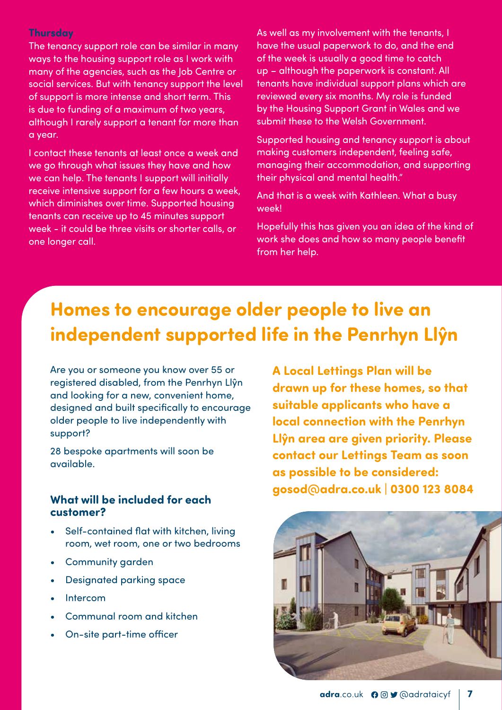#### **Thursday**

The tenancy support role can be similar in many ways to the housing support role as I work with many of the agencies, such as the Job Centre or social services. But with tenancy support the level of support is more intense and short term. This is due to funding of a maximum of two years, although I rarely support a tenant for more than a year.

I contact these tenants at least once a week and we go through what issues they have and how we can help. The tenants I support will initially receive intensive support for a few hours a week, which diminishes over time. Supported housing tenants can receive up to 45 minutes support week - it could be three visits or shorter calls, or one longer call.

As well as my involvement with the tenants, I have the usual paperwork to do, and the end of the week is usually a good time to catch up – although the paperwork is constant. All tenants have individual support plans which are reviewed every six months. My role is funded by the Housing Support Grant in Wales and we submit these to the Welsh Government.

Supported housing and tenancy support is about making customers independent, feeling safe, managing their accommodation, and supporting their physical and mental health."

And that is a week with Kathleen. What a busy week!

Hopefully this has given you an idea of the kind of work she does and how so many people benefit from her help.

## **Homes to encourage older people to live an independent supported life in the Penrhyn Llŷn**

Are you or someone you know over 55 or registered disabled, from the Penrhyn Llŷn and looking for a new, convenient home, designed and built specifically to encourage older people to live independently with support?

28 bespoke apartments will soon be available.

#### **What will be included for each customer?**

- Self-contained flat with kitchen, living room, wet room, one or two bedrooms
- Community garden
- Designated parking space
- **Intercom**
- Communal room and kitchen
- On-site part-time officer

**A Local Lettings Plan will be drawn up for these homes, so that suitable applicants who have a local connection with the Penrhyn Llŷn area are given priority. Please contact our Lettings Team as soon as possible to be considered: gosod@adra.co.uk | 0300 123 8084**

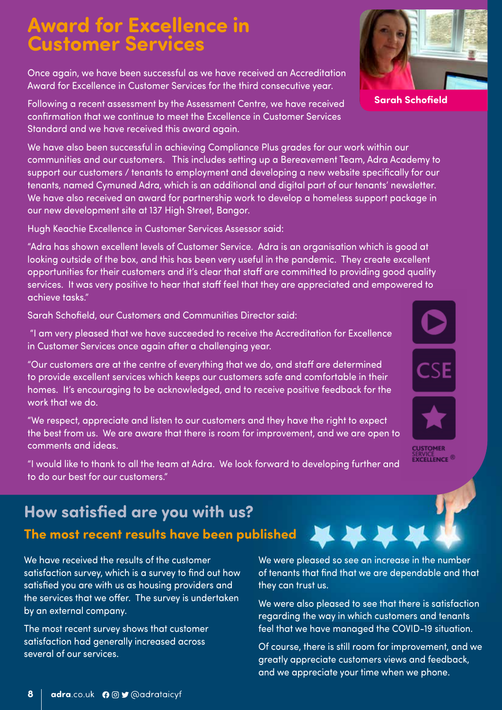## **Award for Excellence in Customer Services**

Once again, we have been successful as we have received an Accreditation Award for Excellence in Customer Services for the third consecutive year.

Following a recent assessment by the Assessment Centre, we have received confirmation that we continue to meet the Excellence in Customer Services Standard and we have received this award again.

We have also been successful in achieving Compliance Plus grades for our work within our communities and our customers. This includes setting up a Bereavement Team, Adra Academy to support our customers / tenants to employment and developing a new website specifically for our tenants, named Cymuned Adra, which is an additional and digital part of our tenants' newsletter. We have also received an award for partnership work to develop a homeless support package in our new development site at 137 High Street, Bangor.

Hugh Keachie Excellence in Customer Services Assessor said:

"Adra has shown excellent levels of Customer Service. Adra is an organisation which is good at looking outside of the box, and this has been very useful in the pandemic. They create excellent opportunities for their customers and it's clear that staff are committed to providing good quality services. It was very positive to hear that staff feel that they are appreciated and empowered to achieve tasks."

Sarah Schofield, our Customers and Communities Director said:

 "I am very pleased that we have succeeded to receive the Accreditation for Excellence in Customer Services once again after a challenging year.

"Our customers are at the centre of everything that we do, and staff are determined to provide excellent services which keeps our customers safe and comfortable in their homes. It's encouraging to be acknowledged, and to receive positive feedback for the work that we do.

"We respect, appreciate and listen to our customers and they have the right to expect the best from us. We are aware that there is room for improvement, and we are open to comments and ideas.

"I would like to thank to all the team at Adra. We look forward to developing further and to do our best for our customers."

## **How satisfied are you with us? The most recent results have been published**

We have received the results of the customer satisfaction survey, which is a survey to find out how satisfied you are with us as housing providers and the services that we offer. The survey is undertaken by an external company.

The most recent survey shows that customer satisfaction had generally increased across several of our services.

We were pleased so see an increase in the number of tenants that find that we are dependable and that they can trust us.

We were also pleased to see that there is satisfaction regarding the way in which customers and tenants feel that we have managed the COVID-19 situation.

Of course, there is still room for improvement, and we greatly appreciate customers views and feedback, and we appreciate your time when we phone.

**Sarah Schofield**





**CUSTOMER EXCELLENCE<sup>®</sup>** 





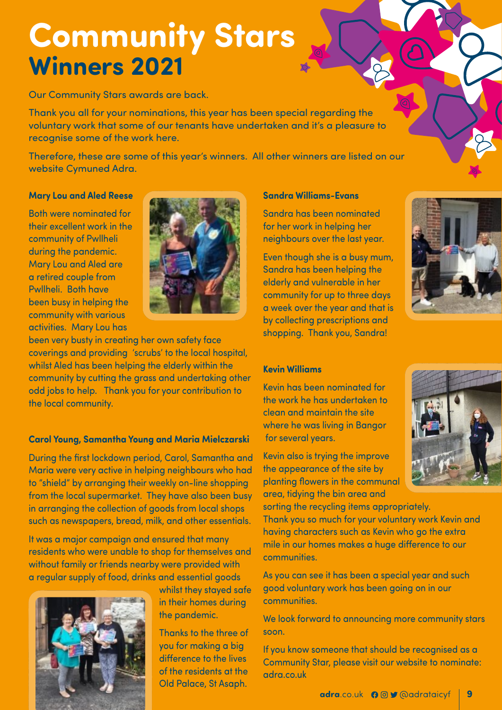# **Community Stars Winners 2021**

Our Community Stars awards are back.

Thank you all for your nominations, this year has been special regarding the voluntary work that some of our tenants have undertaken and it's a pleasure to recognise some of the work here.

Therefore, these are some of this year's winners. All other winners are listed on our website Cymuned Adra.

#### **Mary Lou and Aled Reese**

Both were nominated for their excellent work in the community of Pwllheli during the pandemic. Mary Lou and Aled are a retired couple from Pwllheli. Both have been busy in helping the community with various activities. Mary Lou has



been very busty in creating her own safety face coverings and providing 'scrubs' to the local hospital, whilst Aled has been helping the elderly within the community by cutting the grass and undertaking other odd jobs to help. Thank you for your contribution to the local community.

#### **Carol Young, Samantha Young and Maria Mielczarski**

During the first lockdown period, Carol, Samantha and Maria were very active in helping neighbours who had to "shield" by arranging their weekly on-line shopping from the local supermarket. They have also been busy in arranging the collection of goods from local shops such as newspapers, bread, milk, and other essentials.

It was a major campaign and ensured that many residents who were unable to shop for themselves and without family or friends nearby were provided with a regular supply of food, drinks and essential goods



whilst they stayed safe in their homes during the pandemic.

Thanks to the three of you for making a big difference to the lives of the residents at the Old Palace, St Asaph.

#### **Sandra Williams-Evans**

Sandra has been nominated for her work in helping her neighbours over the last year.

Even though she is a busy mum, Sandra has been helping the elderly and vulnerable in her community for up to three days a week over the year and that is by collecting prescriptions and shopping. Thank you, Sandra!



#### **Kevin Williams**

Kevin has been nominated for the work he has undertaken to clean and maintain the site where he was living in Bangor for several years.

Kevin also is trying the improve the appearance of the site by planting flowers in the communal area, tidying the bin area and

sorting the recycling items appropriately. Thank you so much for your voluntary work Kevin and having characters such as Kevin who go the extra mile in our homes makes a huge difference to our communities.

As you can see it has been a special year and such good voluntary work has been going on in our communities.

We look forward to announcing more community stars soon.

If you know someone that should be recognised as a Community Star, please visit our website to nominate: adra.co.uk

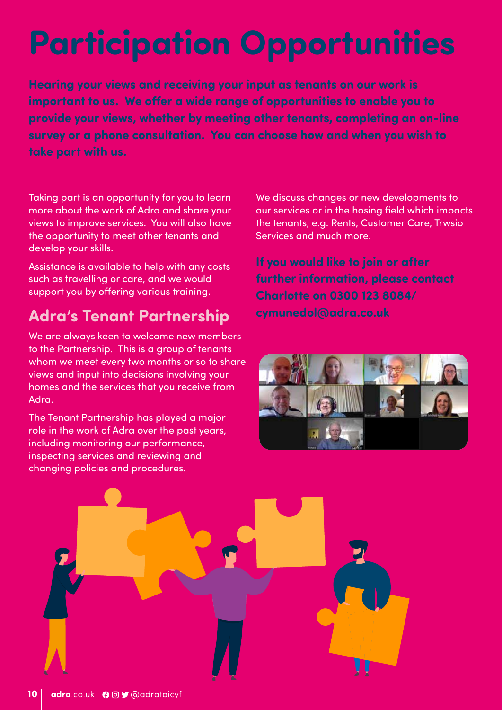# **Participation Opportunities**

**Hearing your views and receiving your input as tenants on our work is important to us. We offer a wide range of opportunities to enable you to provide your views, whether by meeting other tenants, completing an on-line survey or a phone consultation. You can choose how and when you wish to take part with us.** 

Taking part is an opportunity for you to learn more about the work of Adra and share your views to improve services. You will also have the opportunity to meet other tenants and develop your skills.

Assistance is available to help with any costs such as travelling or care, and we would support you by offering various training.

## **Adra's Tenant Partnership**

We are always keen to welcome new members to the Partnership. This is a group of tenants whom we meet every two months or so to share views and input into decisions involving your homes and the services that you receive from Adra.

The Tenant Partnership has played a major role in the work of Adra over the past years, including monitoring our performance, inspecting services and reviewing and changing policies and procedures.

We discuss changes or new developments to our services or in the hosing field which impacts the tenants, e.g. Rents, Customer Care, Trwsio Services and much more.

**If you would like to join or after further information, please contact Charlotte on 0300 123 8084/ cymunedol@adra.co.uk** 



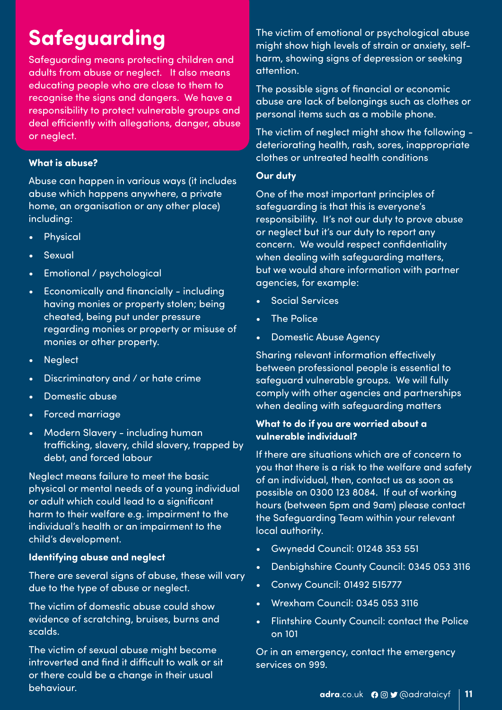# **Safeguarding**

Safeguarding means protecting children and adults from abuse or neglect. It also means educating people who are close to them to recognise the signs and dangers. We have a responsibility to protect vulnerable groups and deal efficiently with allegations, danger, abuse or neglect.

#### **What is abuse?**

Abuse can happen in various ways (it includes abuse which happens anywhere, a private home, an organisation or any other place) including:

- Physical
- Sexual
- Emotional / psychological
- Economically and financially including having monies or property stolen; being cheated, being put under pressure regarding monies or property or misuse of monies or other property.
- Neglect
- Discriminatory and / or hate crime
- Domestic abuse
- Forced marriage
- Modern Slavery including human trafficking, slavery, child slavery, trapped by debt, and forced labour

Neglect means failure to meet the basic physical or mental needs of a young individual or adult which could lead to a significant harm to their welfare e.g. impairment to the individual's health or an impairment to the child's development.

#### **Identifying abuse and neglect**

There are several signs of abuse, these will vary due to the type of abuse or neglect.

The victim of domestic abuse could show evidence of scratching, bruises, burns and scalds.

The victim of sexual abuse might become introverted and find it difficult to walk or sit or there could be a change in their usual behaviour.

The victim of emotional or psychological abuse might show high levels of strain or anxiety, selfharm, showing signs of depression or seeking attention.

The possible signs of financial or economic abuse are lack of belongings such as clothes or personal items such as a mobile phone.

The victim of neglect might show the following deteriorating health, rash, sores, inappropriate clothes or untreated health conditions

#### **Our duty**

One of the most important principles of safeguarding is that this is everyone's responsibility. It's not our duty to prove abuse or neglect but it's our duty to report any concern. We would respect confidentiality when dealing with safeguarding matters, but we would share information with partner agencies, for example:

- Social Services
- **The Police**
- Domestic Abuse Agency

Sharing relevant information effectively between professional people is essential to safeguard vulnerable groups. We will fully comply with other agencies and partnerships when dealing with safeguarding matters

#### **What to do if you are worried about a vulnerable individual?**

If there are situations which are of concern to you that there is a risk to the welfare and safety of an individual, then, contact us as soon as possible on 0300 123 8084. If out of working hours (between 5pm and 9am) please contact the Safeguarding Team within your relevant local authority.

- Gwynedd Council: 01248 353 551
- Denbighshire County Council: 0345 053 3116
- Conwy Council: 01492 515777
- Wrexham Council: 0345 053 3116
- Flintshire County Council: contact the Police on 101

Or in an emergency, contact the emergency services on 999.